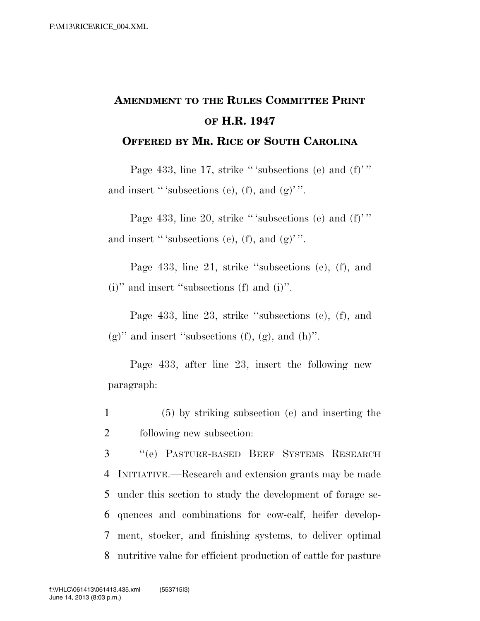## **AMENDMENT TO THE RULES COMMITTEE PRINT OF H.R. 1947**

**OFFERED BY MR. RICE OF SOUTH CAROLINA**

Page 433, line 17, strike "'subsections (e) and (f)'" and insert "'subsections (e), (f), and  $(g)$ ".

Page 433, line 20, strike "'subsections (e) and  $(f)$ " and insert "'subsections (e), (f), and  $(g)$ ".

Page 433, line 21, strike ''subsections (e), (f), and (i)'' and insert ''subsections (f) and (i)''.

Page 433, line 23, strike ''subsections (e), (f), and  $(g)$ " and insert "subsections  $(f)$ ,  $(g)$ , and  $(h)$ ".

Page 433, after line 23, insert the following new paragraph:

1 (5) by striking subsection (e) and inserting the 2 following new subsection:

 ''(e) PASTURE-BASED BEEF SYSTEMS RESEARCH INITIATIVE.—Research and extension grants may be made under this section to study the development of forage se- quences and combinations for cow-calf, heifer develop- ment, stocker, and finishing systems, to deliver optimal nutritive value for efficient production of cattle for pasture